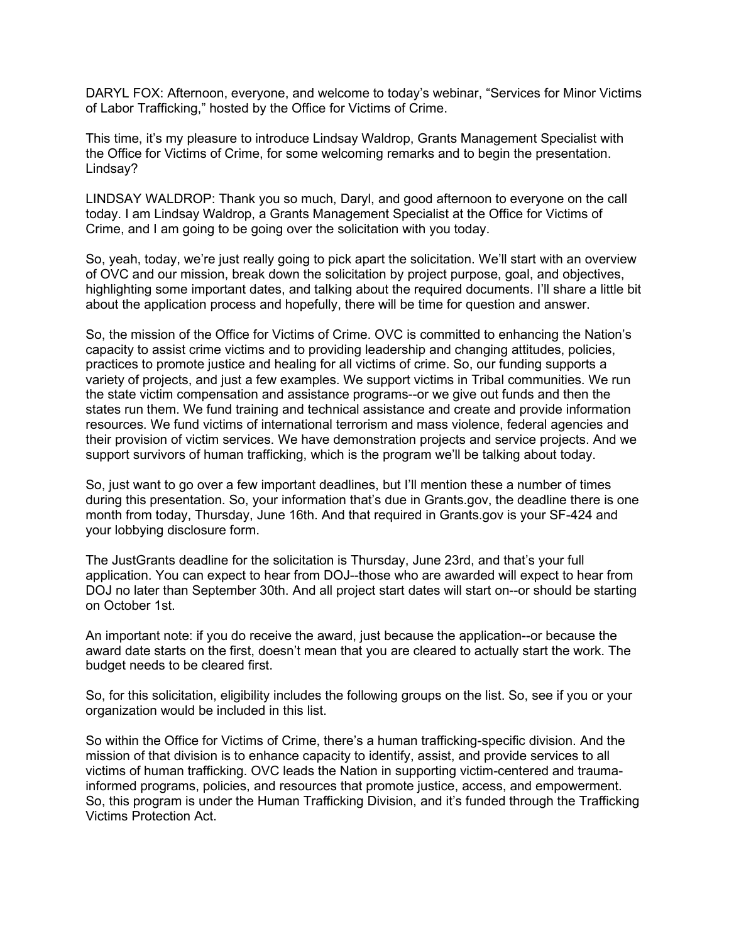DARYL FOX: Afternoon, everyone, and welcome to today's webinar, "Services for Minor Victims of Labor Trafficking," hosted by the Office for Victims of Crime.

This time, it's my pleasure to introduce Lindsay Waldrop, Grants Management Specialist with the Office for Victims of Crime, for some welcoming remarks and to begin the presentation. Lindsay?

LINDSAY WALDROP: Thank you so much, Daryl, and good afternoon to everyone on the call today. I am Lindsay Waldrop, a Grants Management Specialist at the Office for Victims of Crime, and I am going to be going over the solicitation with you today.

So, yeah, today, we're just really going to pick apart the solicitation. We'll start with an overview of OVC and our mission, break down the solicitation by project purpose, goal, and objectives, highlighting some important dates, and talking about the required documents. I'll share a little bit about the application process and hopefully, there will be time for question and answer.

So, the mission of the Office for Victims of Crime. OVC is committed to enhancing the Nation's capacity to assist crime victims and to providing leadership and changing attitudes, policies, practices to promote justice and healing for all victims of crime. So, our funding supports a variety of projects, and just a few examples. We support victims in Tribal communities. We run the state victim compensation and assistance programs--or we give out funds and then the states run them. We fund training and technical assistance and create and provide information resources. We fund victims of international terrorism and mass violence, federal agencies and their provision of victim services. We have demonstration projects and service projects. And we support survivors of human trafficking, which is the program we'll be talking about today.

So, just want to go over a few important deadlines, but I'll mention these a number of times during this presentation. So, your information that's due in Grants.gov, the deadline there is one month from today, Thursday, June 16th. And that required in Grants.gov is your SF-424 and your lobbying disclosure form.

The JustGrants deadline for the solicitation is Thursday, June 23rd, and that's your full application. You can expect to hear from DOJ--those who are awarded will expect to hear from DOJ no later than September 30th. And all project start dates will start on--or should be starting on October 1st.

An important note: if you do receive the award, just because the application--or because the award date starts on the first, doesn't mean that you are cleared to actually start the work. The budget needs to be cleared first.

So, for this solicitation, eligibility includes the following groups on the list. So, see if you or your organization would be included in this list.

So within the Office for Victims of Crime, there's a human trafficking-specific division. And the mission of that division is to enhance capacity to identify, assist, and provide services to all victims of human trafficking. OVC leads the Nation in supporting victim-centered and traumainformed programs, policies, and resources that promote justice, access, and empowerment. So, this program is under the Human Trafficking Division, and it's funded through the Trafficking Victims Protection Act.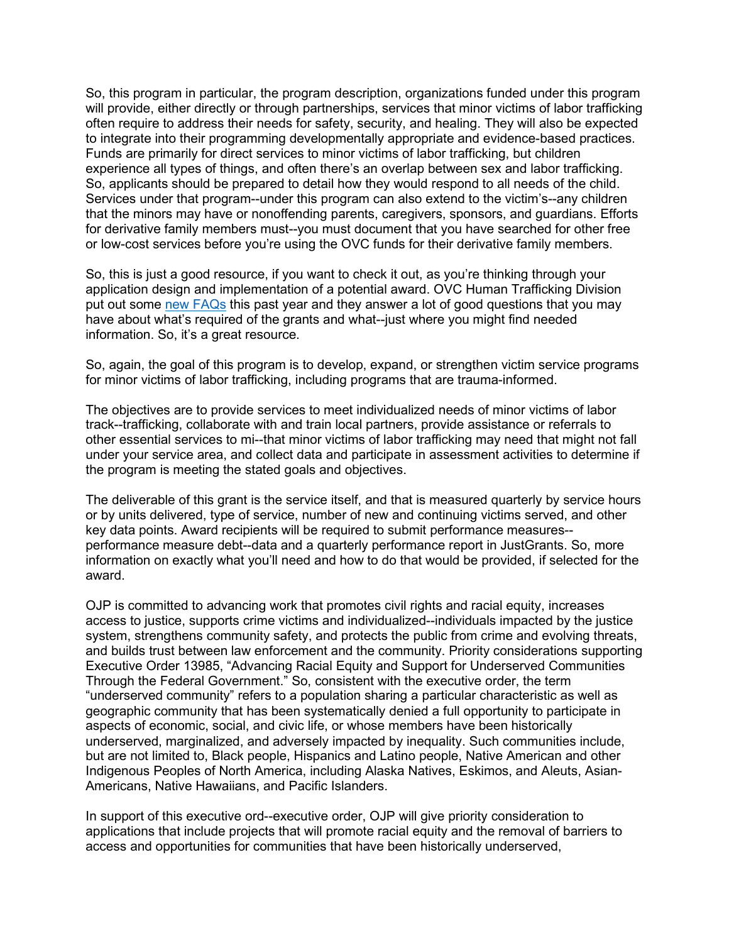So, this program in particular, the program description, organizations funded under this program will provide, either directly or through partnerships, services that minor victims of labor trafficking often require to address their needs for safety, security, and healing. They will also be expected to integrate into their programming developmentally appropriate and evidence-based practices. Funds are primarily for direct services to minor victims of labor trafficking, but children experience all types of things, and often there's an overlap between sex and labor trafficking. So, applicants should be prepared to detail how they would respond to all needs of the child. Services under that program--under this program can also extend to the victim's--any children that the minors may have or nonoffending parents, caregivers, sponsors, and guardians. Efforts for derivative family members must--you must document that you have searched for other free or low-cost services before you're using the OVC funds for their derivative family members.

So, this is just a good resource, if you want to check it out, as you're thinking through your application design and implementation of a potential award. OVC Human Trafficking Division put out some [new FAQs](https://ovc.ojp.gov/program/human-trafficking/ovc-human-trafficking-program-faqs) this past year and they answer a lot of good questions that you may have about what's required of the grants and what--just where you might find needed information. So, it's a great resource.

So, again, the goal of this program is to develop, expand, or strengthen victim service programs for minor victims of labor trafficking, including programs that are trauma-informed.

The objectives are to provide services to meet individualized needs of minor victims of labor track--trafficking, collaborate with and train local partners, provide assistance or referrals to other essential services to mi--that minor victims of labor trafficking may need that might not fall under your service area, and collect data and participate in assessment activities to determine if the program is meeting the stated goals and objectives.

The deliverable of this grant is the service itself, and that is measured quarterly by service hours or by units delivered, type of service, number of new and continuing victims served, and other key data points. Award recipients will be required to submit performance measures- performance measure debt--data and a quarterly performance report in JustGrants. So, more information on exactly what you'll need and how to do that would be provided, if selected for the award.

OJP is committed to advancing work that promotes civil rights and racial equity, increases access to justice, supports crime victims and individualized--individuals impacted by the justice system, strengthens community safety, and protects the public from crime and evolving threats, and builds trust between law enforcement and the community. Priority considerations supporting Executive Order 13985, "Advancing Racial Equity and Support for Underserved Communities Through the Federal Government." So, consistent with the executive order, the term "underserved community" refers to a population sharing a particular characteristic as well as geographic community that has been systematically denied a full opportunity to participate in aspects of economic, social, and civic life, or whose members have been historically underserved, marginalized, and adversely impacted by inequality. Such communities include, but are not limited to, Black people, Hispanics and Latino people, Native American and other Indigenous Peoples of North America, including Alaska Natives, Eskimos, and Aleuts, Asian-Americans, Native Hawaiians, and Pacific Islanders.

In support of this executive ord--executive order, OJP will give priority consideration to applications that include projects that will promote racial equity and the removal of barriers to access and opportunities for communities that have been historically underserved,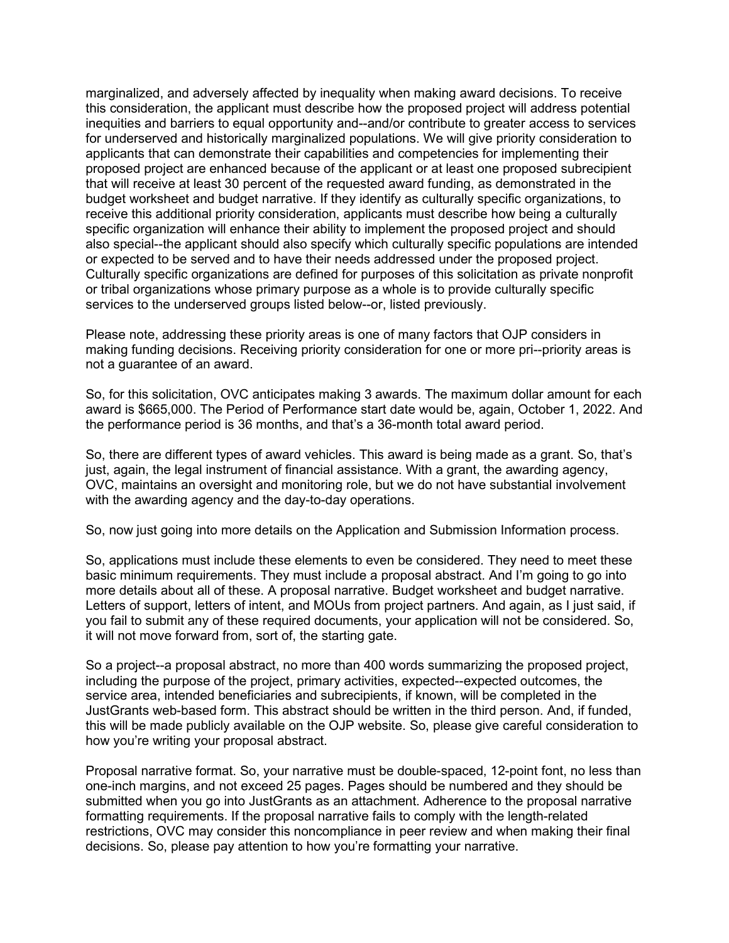marginalized, and adversely affected by inequality when making award decisions. To receive this consideration, the applicant must describe how the proposed project will address potential inequities and barriers to equal opportunity and--and/or contribute to greater access to services for underserved and historically marginalized populations. We will give priority consideration to applicants that can demonstrate their capabilities and competencies for implementing their proposed project are enhanced because of the applicant or at least one proposed subrecipient that will receive at least 30 percent of the requested award funding, as demonstrated in the budget worksheet and budget narrative. If they identify as culturally specific organizations, to receive this additional priority consideration, applicants must describe how being a culturally specific organization will enhance their ability to implement the proposed project and should also special--the applicant should also specify which culturally specific populations are intended or expected to be served and to have their needs addressed under the proposed project. Culturally specific organizations are defined for purposes of this solicitation as private nonprofit or tribal organizations whose primary purpose as a whole is to provide culturally specific services to the underserved groups listed below--or, listed previously.

Please note, addressing these priority areas is one of many factors that OJP considers in making funding decisions. Receiving priority consideration for one or more pri--priority areas is not a guarantee of an award.

So, for this solicitation, OVC anticipates making 3 awards. The maximum dollar amount for each award is \$665,000. The Period of Performance start date would be, again, October 1, 2022. And the performance period is 36 months, and that's a 36-month total award period.

So, there are different types of award vehicles. This award is being made as a grant. So, that's just, again, the legal instrument of financial assistance. With a grant, the awarding agency, OVC, maintains an oversight and monitoring role, but we do not have substantial involvement with the awarding agency and the day-to-day operations.

So, now just going into more details on the Application and Submission Information process.

So, applications must include these elements to even be considered. They need to meet these basic minimum requirements. They must include a proposal abstract. And I'm going to go into more details about all of these. A proposal narrative. Budget worksheet and budget narrative. Letters of support, letters of intent, and MOUs from project partners. And again, as I just said, if you fail to submit any of these required documents, your application will not be considered. So, it will not move forward from, sort of, the starting gate.

So a project--a proposal abstract, no more than 400 words summarizing the proposed project, including the purpose of the project, primary activities, expected--expected outcomes, the service area, intended beneficiaries and subrecipients, if known, will be completed in the JustGrants web-based form. This abstract should be written in the third person. And, if funded, this will be made publicly available on the OJP website. So, please give careful consideration to how you're writing your proposal abstract.

Proposal narrative format. So, your narrative must be double-spaced, 12-point font, no less than one-inch margins, and not exceed 25 pages. Pages should be numbered and they should be submitted when you go into JustGrants as an attachment. Adherence to the proposal narrative formatting requirements. If the proposal narrative fails to comply with the length-related restrictions, OVC may consider this noncompliance in peer review and when making their final decisions. So, please pay attention to how you're formatting your narrative.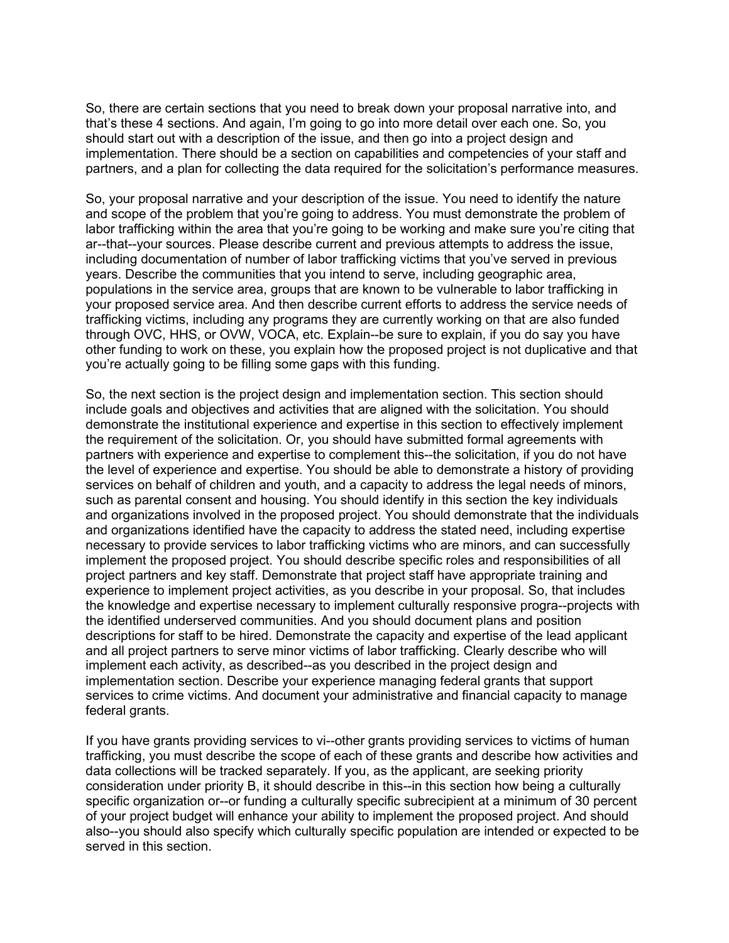So, there are certain sections that you need to break down your proposal narrative into, and that's these 4 sections. And again, I'm going to go into more detail over each one. So, you should start out with a description of the issue, and then go into a project design and implementation. There should be a section on capabilities and competencies of your staff and partners, and a plan for collecting the data required for the solicitation's performance measures.

So, your proposal narrative and your description of the issue. You need to identify the nature and scope of the problem that you're going to address. You must demonstrate the problem of labor trafficking within the area that you're going to be working and make sure you're citing that ar--that--your sources. Please describe current and previous attempts to address the issue, including documentation of number of labor trafficking victims that you've served in previous years. Describe the communities that you intend to serve, including geographic area, populations in the service area, groups that are known to be vulnerable to labor trafficking in your proposed service area. And then describe current efforts to address the service needs of trafficking victims, including any programs they are currently working on that are also funded through OVC, HHS, or OVW, VOCA, etc. Explain--be sure to explain, if you do say you have other funding to work on these, you explain how the proposed project is not duplicative and that you're actually going to be filling some gaps with this funding.

So, the next section is the project design and implementation section. This section should include goals and objectives and activities that are aligned with the solicitation. You should demonstrate the institutional experience and expertise in this section to effectively implement the requirement of the solicitation. Or, you should have submitted formal agreements with partners with experience and expertise to complement this--the solicitation, if you do not have the level of experience and expertise. You should be able to demonstrate a history of providing services on behalf of children and youth, and a capacity to address the legal needs of minors, such as parental consent and housing. You should identify in this section the key individuals and organizations involved in the proposed project. You should demonstrate that the individuals and organizations identified have the capacity to address the stated need, including expertise necessary to provide services to labor trafficking victims who are minors, and can successfully implement the proposed project. You should describe specific roles and responsibilities of all project partners and key staff. Demonstrate that project staff have appropriate training and experience to implement project activities, as you describe in your proposal. So, that includes the knowledge and expertise necessary to implement culturally responsive progra--projects with the identified underserved communities. And you should document plans and position descriptions for staff to be hired. Demonstrate the capacity and expertise of the lead applicant and all project partners to serve minor victims of labor trafficking. Clearly describe who will implement each activity, as described--as you described in the project design and implementation section. Describe your experience managing federal grants that support services to crime victims. And document your administrative and financial capacity to manage federal grants.

If you have grants providing services to vi--other grants providing services to victims of human trafficking, you must describe the scope of each of these grants and describe how activities and data collections will be tracked separately. If you, as the applicant, are seeking priority consideration under priority B, it should describe in this--in this section how being a culturally specific organization or--or funding a culturally specific subrecipient at a minimum of 30 percent of your project budget will enhance your ability to implement the proposed project. And should also--you should also specify which culturally specific population are intended or expected to be served in this section.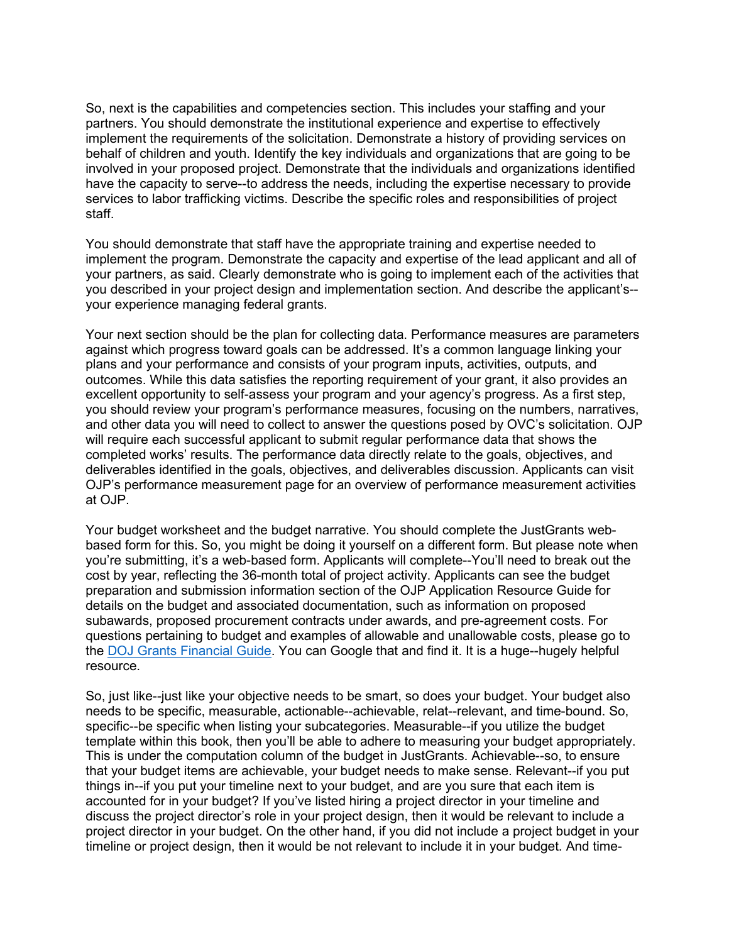So, next is the capabilities and competencies section. This includes your staffing and your partners. You should demonstrate the institutional experience and expertise to effectively implement the requirements of the solicitation. Demonstrate a history of providing services on behalf of children and youth. Identify the key individuals and organizations that are going to be involved in your proposed project. Demonstrate that the individuals and organizations identified have the capacity to serve--to address the needs, including the expertise necessary to provide services to labor trafficking victims. Describe the specific roles and responsibilities of project staff.

You should demonstrate that staff have the appropriate training and expertise needed to implement the program. Demonstrate the capacity and expertise of the lead applicant and all of your partners, as said. Clearly demonstrate who is going to implement each of the activities that you described in your project design and implementation section. And describe the applicant's- your experience managing federal grants.

Your next section should be the plan for collecting data. Performance measures are parameters against which progress toward goals can be addressed. It's a common language linking your plans and your performance and consists of your program inputs, activities, outputs, and outcomes. While this data satisfies the reporting requirement of your grant, it also provides an excellent opportunity to self-assess your program and your agency's progress. As a first step, you should review your program's performance measures, focusing on the numbers, narratives, and other data you will need to collect to answer the questions posed by OVC's solicitation. OJP will require each successful applicant to submit regular performance data that shows the completed works' results. The performance data directly relate to the goals, objectives, and deliverables identified in the goals, objectives, and deliverables discussion. Applicants can visit OJP's performance measurement page for an overview of performance measurement activities at OJP.

Your budget worksheet and the budget narrative. You should complete the JustGrants webbased form for this. So, you might be doing it yourself on a different form. But please note when you're submitting, it's a web-based form. Applicants will complete--You'll need to break out the cost by year, reflecting the 36-month total of project activity. Applicants can see the budget preparation and submission information section of the OJP Application Resource Guide for details on the budget and associated documentation, such as information on proposed subawards, proposed procurement contracts under awards, and pre-agreement costs. For questions pertaining to budget and examples of allowable and unallowable costs, please go to the [DOJ Grants Financial Guide.](https://www.ojp.gov/funding/financialguidedoj/overview) You can Google that and find it. It is a huge--hugely helpful resource.

So, just like--just like your objective needs to be smart, so does your budget. Your budget also needs to be specific, measurable, actionable--achievable, relat--relevant, and time-bound. So, specific--be specific when listing your subcategories. Measurable--if you utilize the budget template within this book, then you'll be able to adhere to measuring your budget appropriately. This is under the computation column of the budget in JustGrants. Achievable--so, to ensure that your budget items are achievable, your budget needs to make sense. Relevant--if you put things in--if you put your timeline next to your budget, and are you sure that each item is accounted for in your budget? If you've listed hiring a project director in your timeline and discuss the project director's role in your project design, then it would be relevant to include a project director in your budget. On the other hand, if you did not include a project budget in your timeline or project design, then it would be not relevant to include it in your budget. And time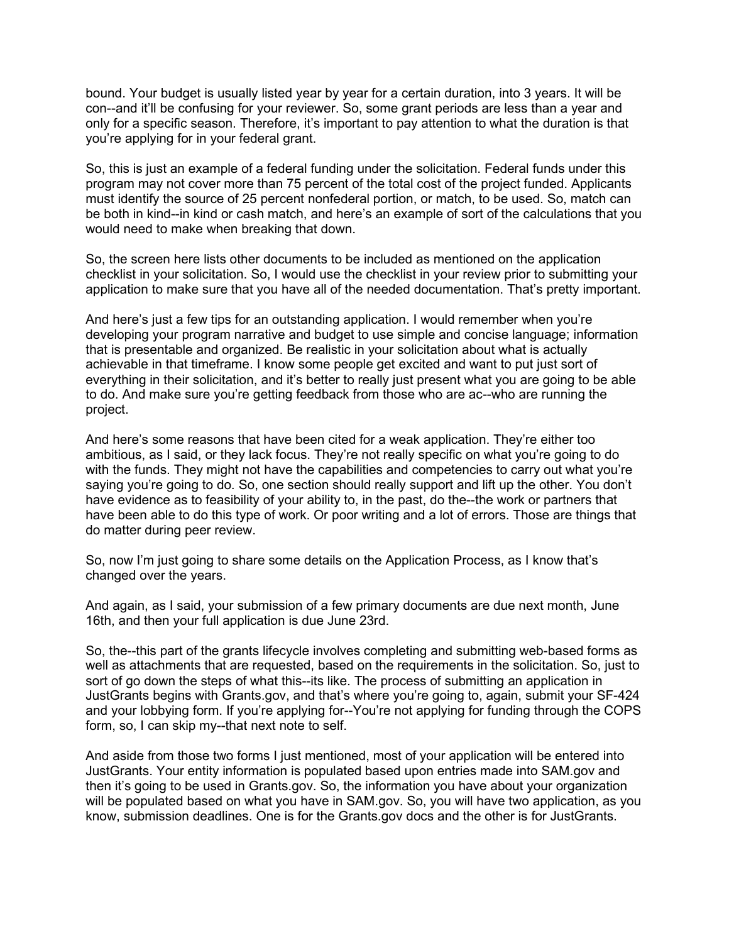bound. Your budget is usually listed year by year for a certain duration, into 3 years. It will be con--and it'll be confusing for your reviewer. So, some grant periods are less than a year and only for a specific season. Therefore, it's important to pay attention to what the duration is that you're applying for in your federal grant.

So, this is just an example of a federal funding under the solicitation. Federal funds under this program may not cover more than 75 percent of the total cost of the project funded. Applicants must identify the source of 25 percent nonfederal portion, or match, to be used. So, match can be both in kind--in kind or cash match, and here's an example of sort of the calculations that you would need to make when breaking that down.

So, the screen here lists other documents to be included as mentioned on the application checklist in your solicitation. So, I would use the checklist in your review prior to submitting your application to make sure that you have all of the needed documentation. That's pretty important.

And here's just a few tips for an outstanding application. I would remember when you're developing your program narrative and budget to use simple and concise language; information that is presentable and organized. Be realistic in your solicitation about what is actually achievable in that timeframe. I know some people get excited and want to put just sort of everything in their solicitation, and it's better to really just present what you are going to be able to do. And make sure you're getting feedback from those who are ac--who are running the project.

And here's some reasons that have been cited for a weak application. They're either too ambitious, as I said, or they lack focus. They're not really specific on what you're going to do with the funds. They might not have the capabilities and competencies to carry out what you're saying you're going to do. So, one section should really support and lift up the other. You don't have evidence as to feasibility of your ability to, in the past, do the--the work or partners that have been able to do this type of work. Or poor writing and a lot of errors. Those are things that do matter during peer review.

So, now I'm just going to share some details on the Application Process, as I know that's changed over the years.

And again, as I said, your submission of a few primary documents are due next month, June 16th, and then your full application is due June 23rd.

So, the--this part of the grants lifecycle involves completing and submitting web-based forms as well as attachments that are requested, based on the requirements in the solicitation. So, just to sort of go down the steps of what this--its like. The process of submitting an application in JustGrants begins with Grants.gov, and that's where you're going to, again, submit your SF-424 and your lobbying form. If you're applying for--You're not applying for funding through the COPS form, so, I can skip my--that next note to self.

And aside from those two forms I just mentioned, most of your application will be entered into JustGrants. Your entity information is populated based upon entries made into SAM.gov and then it's going to be used in Grants.gov. So, the information you have about your organization will be populated based on what you have in SAM.gov. So, you will have two application, as you know, submission deadlines. One is for the Grants.gov docs and the other is for JustGrants.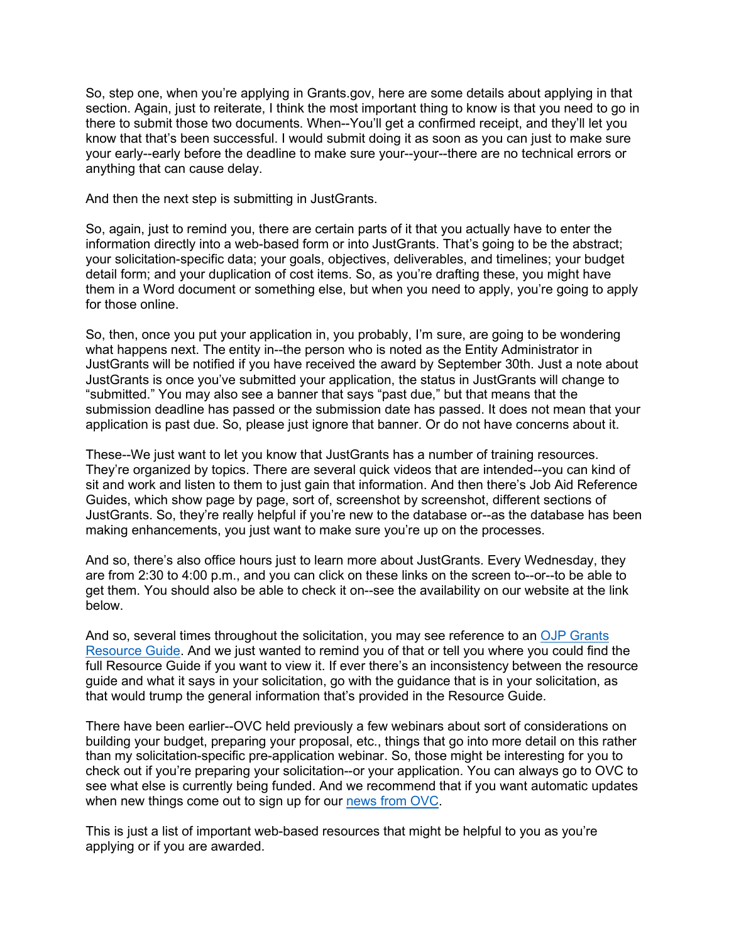So, step one, when you're applying in Grants.gov, here are some details about applying in that section. Again, just to reiterate, I think the most important thing to know is that you need to go in there to submit those two documents. When--You'll get a confirmed receipt, and they'll let you know that that's been successful. I would submit doing it as soon as you can just to make sure your early--early before the deadline to make sure your--your--there are no technical errors or anything that can cause delay.

And then the next step is submitting in JustGrants.

So, again, just to remind you, there are certain parts of it that you actually have to enter the information directly into a web-based form or into JustGrants. That's going to be the abstract; your solicitation-specific data; your goals, objectives, deliverables, and timelines; your budget detail form; and your duplication of cost items. So, as you're drafting these, you might have them in a Word document or something else, but when you need to apply, you're going to apply for those online.

So, then, once you put your application in, you probably, I'm sure, are going to be wondering what happens next. The entity in--the person who is noted as the Entity Administrator in JustGrants will be notified if you have received the award by September 30th. Just a note about JustGrants is once you've submitted your application, the status in JustGrants will change to "submitted." You may also see a banner that says "past due," but that means that the submission deadline has passed or the submission date has passed. It does not mean that your application is past due. So, please just ignore that banner. Or do not have concerns about it.

These--We just want to let you know that JustGrants has a number of training resources. They're organized by topics. There are several quick videos that are intended--you can kind of sit and work and listen to them to just gain that information. And then there's Job Aid Reference Guides, which show page by page, sort of, screenshot by screenshot, different sections of JustGrants. So, they're really helpful if you're new to the database or--as the database has been making enhancements, you just want to make sure you're up on the processes.

And so, there's also office hours just to learn more about JustGrants. Every Wednesday, they are from 2:30 to 4:00 p.m., and you can click on these links on the screen to--or--to be able to get them. You should also be able to check it on--see the availability on our website at the link below.

And so, several times throughout the solicitation, you may see reference to an [OJP Grants](https://www.ojp.gov/funding/apply/ojp-grant-application-resource-guide)  [Resource Guide.](https://www.ojp.gov/funding/apply/ojp-grant-application-resource-guide) And we just wanted to remind you of that or tell you where you could find the full Resource Guide if you want to view it. If ever there's an inconsistency between the resource guide and what it says in your solicitation, go with the guidance that is in your solicitation, as that would trump the general information that's provided in the Resource Guide.

There have been earlier--OVC held previously a few webinars about sort of considerations on building your budget, preparing your proposal, etc., things that go into more detail on this rather than my solicitation-specific pre-application webinar. So, those might be interesting for you to check out if you're preparing your solicitation--or your application. You can always go to OVC to see what else is currently being funded. And we recommend that if you want automatic updates when new things come out to sign up for our [news from OVC.](https://ojp.gov/ncjrs/new-ojp-resources)

This is just a list of important web-based resources that might be helpful to you as you're applying or if you are awarded.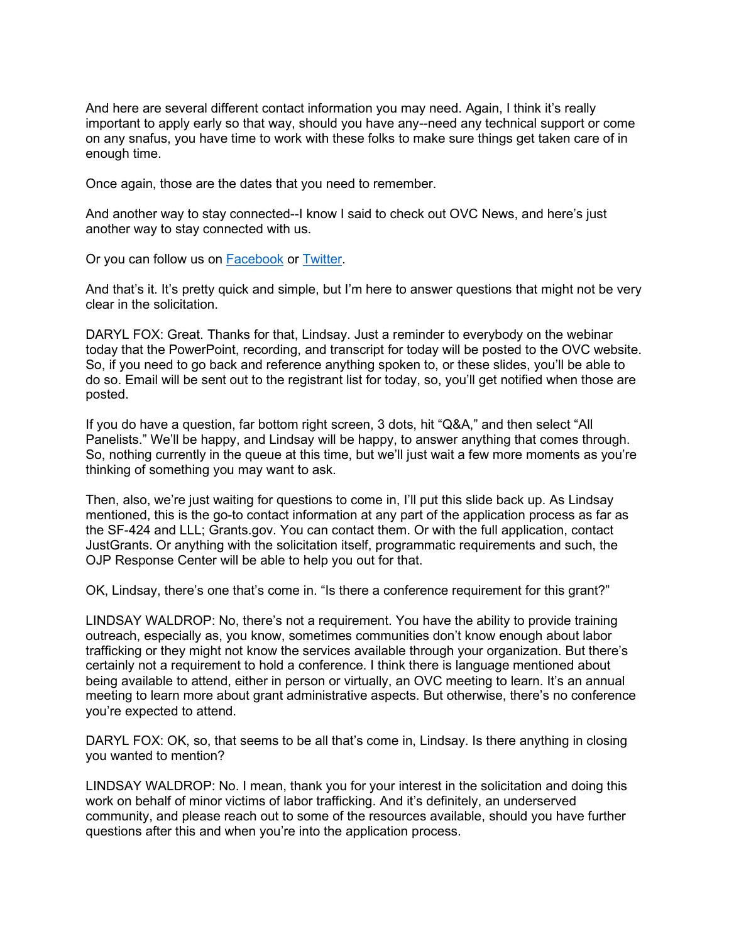And here are several different contact information you may need. Again, I think it's really important to apply early so that way, should you have any--need any technical support or come on any snafus, you have time to work with these folks to make sure things get taken care of in enough time.

Once again, those are the dates that you need to remember.

And another way to stay connected--I know I said to check out OVC News, and here's just another way to stay connected with us.

Or you can follow us on [Facebook](https://www.facebook.com/OJPOVC) or [Twitter.](http://www.twitter/ojpovc)

And that's it. It's pretty quick and simple, but I'm here to answer questions that might not be very clear in the solicitation.

DARYL FOX: Great. Thanks for that, Lindsay. Just a reminder to everybody on the webinar today that the PowerPoint, recording, and transcript for today will be posted to the OVC website. So, if you need to go back and reference anything spoken to, or these slides, you'll be able to do so. Email will be sent out to the registrant list for today, so, you'll get notified when those are posted.

If you do have a question, far bottom right screen, 3 dots, hit "Q&A," and then select "All Panelists." We'll be happy, and Lindsay will be happy, to answer anything that comes through. So, nothing currently in the queue at this time, but we'll just wait a few more moments as you're thinking of something you may want to ask.

Then, also, we're just waiting for questions to come in, I'll put this slide back up. As Lindsay mentioned, this is the go-to contact information at any part of the application process as far as the SF-424 and LLL; Grants.gov. You can contact them. Or with the full application, contact JustGrants. Or anything with the solicitation itself, programmatic requirements and such, the OJP Response Center will be able to help you out for that.

OK, Lindsay, there's one that's come in. "Is there a conference requirement for this grant?"

LINDSAY WALDROP: No, there's not a requirement. You have the ability to provide training outreach, especially as, you know, sometimes communities don't know enough about labor trafficking or they might not know the services available through your organization. But there's certainly not a requirement to hold a conference. I think there is language mentioned about being available to attend, either in person or virtually, an OVC meeting to learn. It's an annual meeting to learn more about grant administrative aspects. But otherwise, there's no conference you're expected to attend.

DARYL FOX: OK, so, that seems to be all that's come in, Lindsay. Is there anything in closing you wanted to mention?

LINDSAY WALDROP: No. I mean, thank you for your interest in the solicitation and doing this work on behalf of minor victims of labor trafficking. And it's definitely, an underserved community, and please reach out to some of the resources available, should you have further questions after this and when you're into the application process.